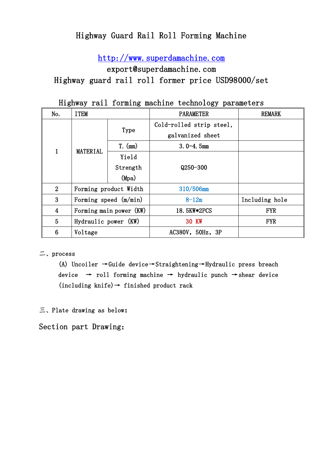# Highway Guard Rail Roll Forming Machine

[http://www.superdamachine.com](http://www.superdamachine.com/) 

export@superdamachine.com

Highway guard rail roll former price USD98000/set

| ------ <i>-</i> --<br>P --- ----- - - - - - |                         |           |                          |                |  |
|---------------------------------------------|-------------------------|-----------|--------------------------|----------------|--|
| No.                                         | <b>ITEM</b>             |           | <b>PARAMETER</b>         | <b>REMARK</b>  |  |
| 1                                           | <b>MATERIAL</b>         | Type      | Cold-rolled strip steel, |                |  |
|                                             |                         |           | galvanized sheet         |                |  |
|                                             |                         | $T.$ (mm) | $3.0 - 4.5$ mm           |                |  |
|                                             |                         | Yield     |                          |                |  |
|                                             |                         | Strength  | $Q250 - 300$             |                |  |
|                                             |                         | (Mpa)     |                          |                |  |
| $\overline{2}$                              | Forming product Width   |           | 310/506mm                |                |  |
| 3                                           | Forming speed $(m/min)$ |           | $8 - 12m$                | Including hole |  |
| $\overline{4}$                              | Forming main power (KW) |           | 18. 5KW*2PCS             | <b>FYR</b>     |  |
| 5                                           | Hydraulic power (KW)    |           | <b>30 KW</b>             | <b>FYR</b>     |  |
| 6                                           | Voltage                 |           | AC380V, 50Hz, 3P         |                |  |

Highway rail forming machine technology parameters

二、process

(A) Uncoiler →Guide device→Straightening→Hydraulic press breach device  $\rightarrow$  roll forming machine  $\rightarrow$  hydraulic punch  $\rightarrow$  shear device  $(including knife) \rightarrow finished product$  rack

三、Plate drawing as below:

Section part Drawing: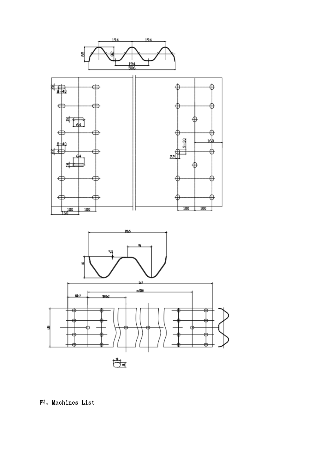

四,Machines List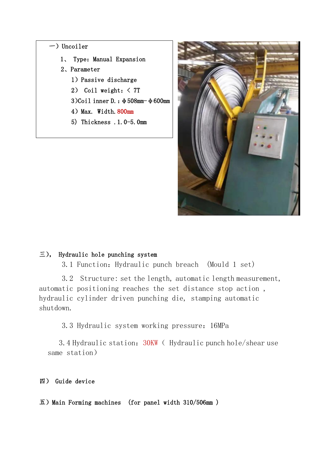#### $-$ ) Uncoiler

- 1、 Type: Manual Expansion
- 2、Parameter
	- 1)Passive discharge
	- 2) Coil weight:< 7T
	- 3)Coil inner D.:φ508mm-φ600mm
	- 4) Max. Width. 800mm
	- 5) Thickness .1.0-5.0mm



### 三), Hydraulic hole punching system

3.1 Function:Hydraulic punch breach (Mould 1 set)

3.2 Structure: set the length, automatic length measurement, automatic positioning reaches the set distance stop action , hydraulic cylinder driven punching die, stamping automatic shutdown.

3.3 Hydraulic system working pressure:16MPa

3.4 Hydraulic station: 30KW (Hydraulic punch hole/shear use same station)

### 四) Guide device

 $\overline{\text{1}}$ ) Main Forming machines (for panel width 310/506mm)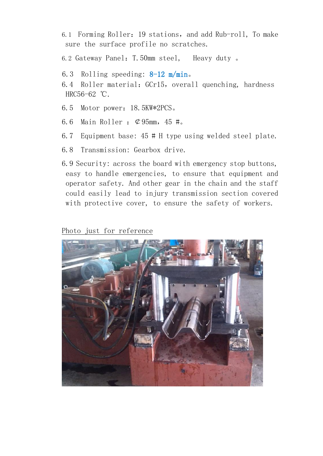- 6.1 Forming Roller: 19 stations, and add Rub-roll, To make sure the surface profile no scratches.
- 6.2 Gateway Panel:T.50mm steel, Heavy duty 。
- 6.3 Rolling speeding:  $8-12$  m/min.
- 6.4 Roller material: GCr15, overall quenching, hardness HRC56-62 ℃.
- 6.5 Motor power:18.5KW\*2PCS。
- 6.6 Main Roller :  $\varphi$ 95mm, 45 #.
- 6.7 Equipment base: 45 # H type using welded steel plate.
- 6.8 Transmission: Gearbox drive.
- 6.9 Security: across the board with emergency stop buttons, easy to handle emergencies, to ensure that equipment and operator safety. And other gear in the chain and the staff could easily lead to injury transmission section covered with protective cover, to ensure the safety of workers.

## Photo just for reference

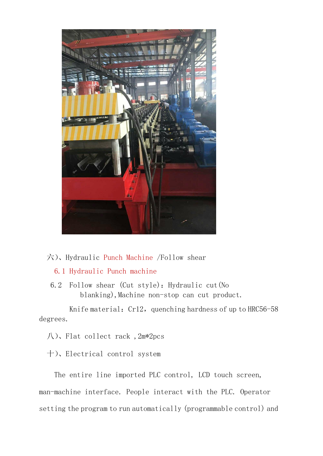

## 六)、Hydraulic Punch Machine /Follow shear

### 6.1 Hydraulic Punch machine

6.2 Follow shear (Cut style): Hydraulic cut (No blanking), Machine non-stop can cut product.

Knife material:  $Cr12$ , quenching hardness of up to HRC56-58 degrees.

八)、Flat collect rack ,2m\*2pcs

十)、Electrical control system

The entire line imported PLC control, LCD touch screen, man-machine interface. People interact with the PLC. Operator setting the program to run automatically (programmable control) and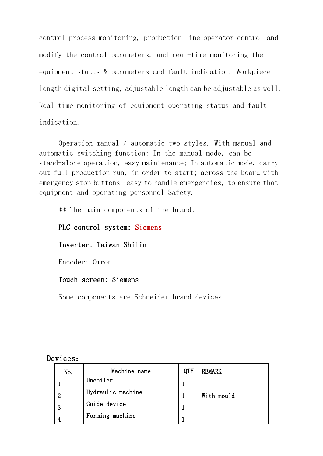control process monitoring, production line operator control and modify the control parameters, and real-time monitoring the equipment status & parameters and fault indication. Workpiece length digital setting, adjustable length can be adjustable as well. Real-time monitoring of equipment operating status and fault indication.

Operation manual / automatic two styles. With manual and automatic switching function: In the manual mode, can be stand-alone operation, easy maintenance; In automatic mode, carry out full production run, in order to start; across the board with emergency stop buttons, easy to handle emergencies, to ensure that equipment and operating personnel Safety.

\*\* The main components of the brand:

PLC control system: Siemens

### Inverter: Taiwan Shilin

Encoder: Omron

#### Touch screen: Siemens

Some components are Schneider brand devices.

#### Devices:

| No. | Machine name      | QTY | <b>REMARK</b> |
|-----|-------------------|-----|---------------|
|     | Uncoiler          |     |               |
| ິດ  | Hydraulic machine |     | With mould    |
| ച   | Guide device      |     |               |
|     | Forming machine   |     |               |